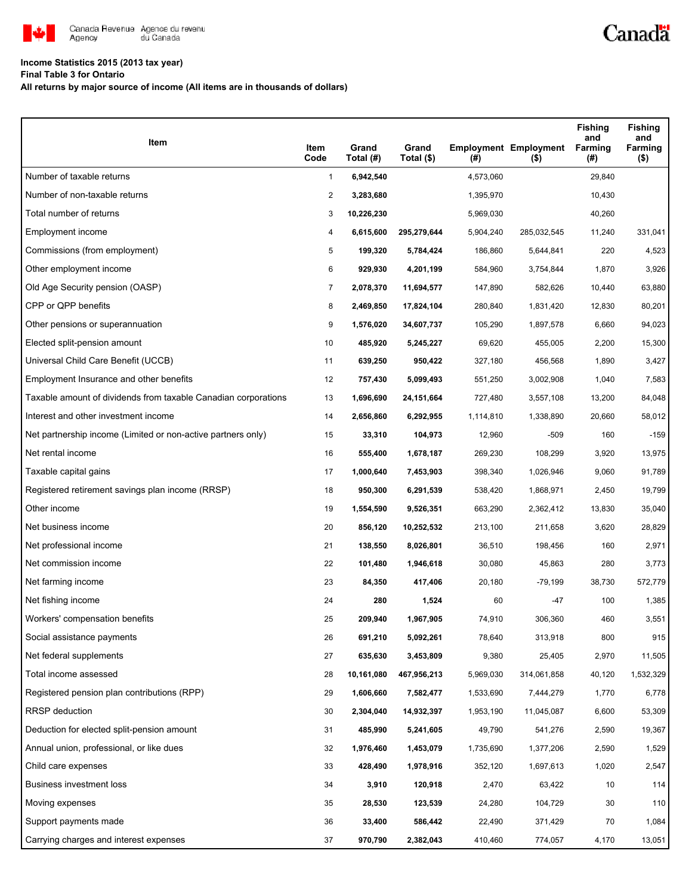

# **Income Statistics 2015 (2013 tax year)**

**Final Table 3 for Ontario**

**All returns by major source of income (All items are in thousands of dollars)**

| Item                                                           | Item<br>Code   | Grand<br>Total (#) | Grand<br>Total (\$) | (#)       | <b>Employment Employment</b><br>$($ \$) | <b>Fishing</b><br>and<br>Farming<br>(#) | <b>Fishing</b><br>and<br>Farming<br>$($ \$) |
|----------------------------------------------------------------|----------------|--------------------|---------------------|-----------|-----------------------------------------|-----------------------------------------|---------------------------------------------|
| Number of taxable returns                                      | $\mathbf{1}$   | 6,942,540          |                     | 4,573,060 |                                         | 29,840                                  |                                             |
| Number of non-taxable returns                                  | $\overline{2}$ | 3,283,680          |                     | 1,395,970 |                                         | 10,430                                  |                                             |
| Total number of returns                                        | 3              | 10,226,230         |                     | 5,969,030 |                                         | 40,260                                  |                                             |
| Employment income                                              | 4              | 6,615,600          | 295,279,644         | 5,904,240 | 285,032,545                             | 11,240                                  | 331,041                                     |
| Commissions (from employment)                                  | 5              | 199,320            | 5,784,424           | 186,860   | 5,644,841                               | 220                                     | 4,523                                       |
| Other employment income                                        | 6              | 929,930            | 4,201,199           | 584,960   | 3,754,844                               | 1,870                                   | 3,926                                       |
| Old Age Security pension (OASP)                                | 7              | 2,078,370          | 11,694,577          | 147,890   | 582,626                                 | 10,440                                  | 63,880                                      |
| CPP or QPP benefits                                            | 8              | 2,469,850          | 17,824,104          | 280,840   | 1,831,420                               | 12,830                                  | 80,201                                      |
| Other pensions or superannuation                               | 9              | 1,576,020          | 34,607,737          | 105,290   | 1,897,578                               | 6,660                                   | 94,023                                      |
| Elected split-pension amount                                   | 10             | 485,920            | 5,245,227           | 69,620    | 455,005                                 | 2,200                                   | 15,300                                      |
| Universal Child Care Benefit (UCCB)                            | 11             | 639,250            | 950,422             | 327,180   | 456,568                                 | 1,890                                   | 3,427                                       |
| Employment Insurance and other benefits                        | 12             | 757,430            | 5,099,493           | 551,250   | 3,002,908                               | 1,040                                   | 7,583                                       |
| Taxable amount of dividends from taxable Canadian corporations | 13             | 1,696,690          | 24,151,664          | 727,480   | 3,557,108                               | 13,200                                  | 84,048                                      |
| Interest and other investment income                           | 14             | 2,656,860          | 6,292,955           | 1,114,810 | 1,338,890                               | 20,660                                  | 58,012                                      |
| Net partnership income (Limited or non-active partners only)   | 15             | 33,310             | 104,973             | 12,960    | $-509$                                  | 160                                     | $-159$                                      |
| Net rental income                                              | 16             | 555,400            | 1,678,187           | 269,230   | 108,299                                 | 3,920                                   | 13,975                                      |
| Taxable capital gains                                          | 17             | 1,000,640          | 7,453,903           | 398,340   | 1,026,946                               | 9,060                                   | 91,789                                      |
| Registered retirement savings plan income (RRSP)               | 18             | 950,300            | 6,291,539           | 538,420   | 1,868,971                               | 2,450                                   | 19,799                                      |
| Other income                                                   | 19             | 1,554,590          | 9,526,351           | 663,290   | 2,362,412                               | 13,830                                  | 35,040                                      |
| Net business income                                            | 20             | 856,120            | 10,252,532          | 213,100   | 211,658                                 | 3,620                                   | 28,829                                      |
| Net professional income                                        | 21             | 138,550            | 8,026,801           | 36,510    | 198,456                                 | 160                                     | 2,971                                       |
| Net commission income                                          | 22             | 101,480            | 1,946,618           | 30,080    | 45,863                                  | 280                                     | 3,773                                       |
| Net farming income                                             | 23             | 84,350             | 417,406             | 20,180    | $-79,199$                               | 38,730                                  | 572,779                                     |
| Net fishing income                                             | 24             | 280                | 1,524               | 60        | $-47$                                   | 100                                     | 1,385                                       |
| Workers' compensation benefits                                 | 25             | 209,940            | 1,967,905           | 74,910    | 306,360                                 | 460                                     | 3,551                                       |
| Social assistance payments                                     | 26             | 691,210            | 5,092,261           | 78,640    | 313,918                                 | 800                                     | 915                                         |
| Net federal supplements                                        | 27             | 635,630            | 3,453,809           | 9,380     | 25,405                                  | 2,970                                   | 11,505                                      |
| Total income assessed                                          | 28             | 10,161,080         | 467,956,213         | 5,969,030 | 314,061,858                             | 40,120                                  | 1,532,329                                   |
| Registered pension plan contributions (RPP)                    | 29             | 1,606,660          | 7,582,477           | 1,533,690 | 7,444,279                               | 1,770                                   | 6,778                                       |
| <b>RRSP</b> deduction                                          | 30             | 2,304,040          | 14,932,397          | 1,953,190 | 11,045,087                              | 6,600                                   | 53,309                                      |
| Deduction for elected split-pension amount                     | 31             | 485,990            | 5,241,605           | 49,790    | 541,276                                 | 2,590                                   | 19,367                                      |
| Annual union, professional, or like dues                       | 32             | 1,976,460          | 1,453,079           | 1,735,690 | 1,377,206                               | 2,590                                   | 1,529                                       |
| Child care expenses                                            | 33             | 428,490            | 1,978,916           | 352,120   | 1,697,613                               | 1,020                                   | 2,547                                       |
| Business investment loss                                       | 34             | 3,910              | 120,918             | 2,470     | 63,422                                  | 10                                      | 114                                         |
| Moving expenses                                                | 35             | 28,530             | 123,539             | 24,280    | 104,729                                 | 30                                      | 110                                         |
| Support payments made                                          | 36             | 33,400             | 586,442             | 22,490    | 371,429                                 | 70                                      | 1,084                                       |
| Carrying charges and interest expenses                         | 37             | 970,790            | 2,382,043           | 410,460   | 774,057                                 | 4,170                                   | 13,051                                      |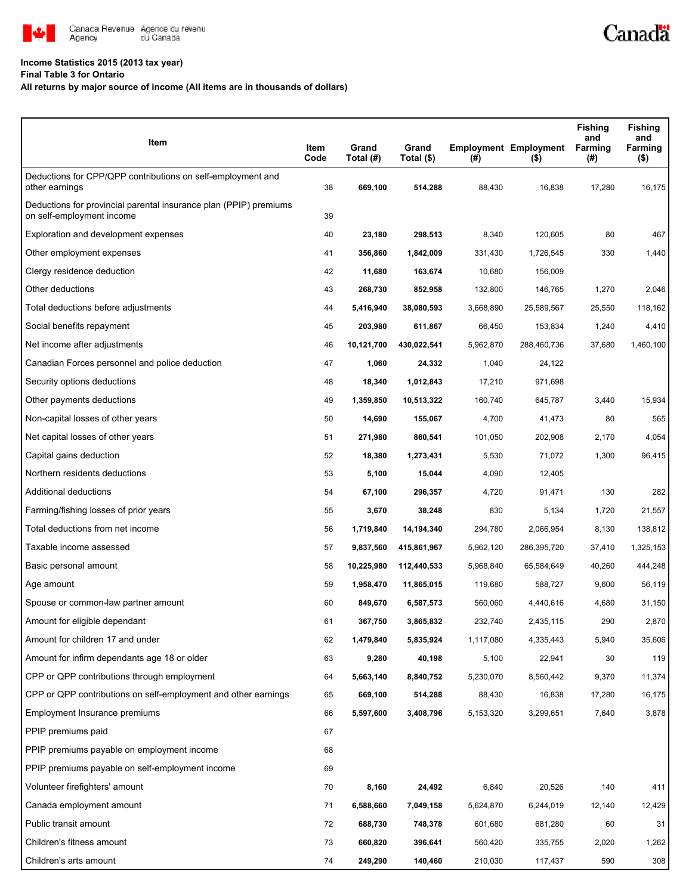

# **Income Statistics 2015 (2013 tax year)**

## **Final Table 3 for Ontario**

# **All returns by major source of income (All items are in thousands of dollars)**

| Item                                                                                           | Item<br>Code | Grand<br>Total (#) | Grand<br>Total (\$) | (# )      | <b>Employment Employment</b><br>$($ \$) | <b>Fishing</b><br>and<br>Farming<br>(#) | <b>Fishing</b><br>and<br>Farming<br>( \$) |
|------------------------------------------------------------------------------------------------|--------------|--------------------|---------------------|-----------|-----------------------------------------|-----------------------------------------|-------------------------------------------|
|                                                                                                |              |                    |                     |           |                                         |                                         |                                           |
| Deductions for CPP/QPP contributions on self-employment and<br>other earnings                  | 38           | 669,100            | 514,288             | 88,430    | 16,838                                  | 17,280                                  | 16,175                                    |
| Deductions for provincial parental insurance plan (PPIP) premiums<br>on self-employment income | 39           |                    |                     |           |                                         |                                         |                                           |
| Exploration and development expenses                                                           | 40           | 23,180             | 298,513             | 8,340     | 120,605                                 | 80                                      | 467                                       |
| Other employment expenses                                                                      | 41           | 356,860            | 1,842,009           | 331,430   | 1,726,545                               | 330                                     | 1,440                                     |
| Clergy residence deduction                                                                     | 42           | 11,680             | 163,674             | 10,680    | 156,009                                 |                                         |                                           |
| Other deductions                                                                               | 43           | 268,730            | 852,958             | 132,800   | 146,765                                 | 1,270                                   | 2,046                                     |
| Total deductions before adjustments                                                            | 44           | 5,416,940          | 38,080,593          | 3,668,890 | 25,589,567                              | 25,550                                  | 118,162                                   |
| Social benefits repayment                                                                      | 45           | 203,980            | 611,867             | 66,450    | 153,834                                 | 1,240                                   | 4,410                                     |
| Net income after adjustments                                                                   | 46           | 10,121,700         | 430,022,541         | 5,962,870 | 288,460,736                             | 37,680                                  | 1,460,100                                 |
| Canadian Forces personnel and police deduction                                                 | 47           | 1,060              | 24,332              | 1,040     | 24,122                                  |                                         |                                           |
| Security options deductions                                                                    | 48           | 18,340             | 1,012,843           | 17,210    | 971,698                                 |                                         |                                           |
| Other payments deductions                                                                      | 49           | 1,359,850          | 10,513,322          | 160,740   | 645,787                                 | 3,440                                   | 15,934                                    |
| Non-capital losses of other years                                                              | 50           | 14,690             | 155,067             | 4,700     | 41,473                                  | 80                                      | 565                                       |
| Net capital losses of other years                                                              | 51           | 271,980            | 860,541             | 101,050   | 202,908                                 | 2,170                                   | 4,054                                     |
| Capital gains deduction                                                                        | 52           | 18,380             | 1,273,431           | 5,530     | 71,072                                  | 1,300                                   | 96,415                                    |
| Northern residents deductions                                                                  | 53           | 5,100              | 15,044              | 4,090     | 12,405                                  |                                         |                                           |
| Additional deductions                                                                          | 54           | 67,100             | 296,357             | 4,720     | 91,471                                  | 130                                     | 282                                       |
| Farming/fishing losses of prior years                                                          | 55           | 3,670              | 38,248              | 830       | 5,134                                   | 1,720                                   | 21,557                                    |
| Total deductions from net income                                                               | 56           | 1,719,840          | 14,194,340          | 294,780   | 2,066,954                               | 8,130                                   | 138,812                                   |
| Taxable income assessed                                                                        | 57           | 9,837,560          | 415,861,967         | 5,962,120 | 286,395,720                             | 37,410                                  | 1,325,153                                 |
| Basic personal amount                                                                          | 58           | 10,225,980         | 112,440,533         | 5,968,840 | 65,584,649                              | 40,260                                  | 444,248                                   |
| Age amount                                                                                     | 59           | 1,958,470          | 11,865,015          | 119,680   | 588,727                                 | 9,600                                   | 56,119                                    |
| Spouse or common-law partner amount                                                            | 60           | 849,670            | 6,587,573           | 560,060   | 4,440,616                               | 4,680                                   | 31,150                                    |
| Amount for eligible dependant                                                                  | 61           | 367,750            | 3,865,832           | 232,740   | 2,435,115                               | 290                                     | 2,870                                     |
| Amount for children 17 and under                                                               | 62           | 1,479,840          | 5,835,924           | 1,117,080 | 4,335,443                               | 5,940                                   | 35,606                                    |
| Amount for infirm dependants age 18 or older                                                   | 63           | 9,280              | 40,198              | 5,100     | 22,941                                  | 30                                      | 119                                       |
| CPP or QPP contributions through employment                                                    | 64           | 5,663,140          | 8,840,752           | 5,230,070 | 8,560,442                               | 9,370                                   | 11,374                                    |
| CPP or QPP contributions on self-employment and other earnings                                 | 65           | 669,100            | 514,288             | 88,430    | 16,838                                  | 17,280                                  | 16,175                                    |
| Employment Insurance premiums                                                                  | 66           | 5,597,600          | 3,408,796           | 5,153,320 | 3,299,651                               | 7,640                                   | 3,878                                     |
| PPIP premiums paid                                                                             | 67           |                    |                     |           |                                         |                                         |                                           |
| PPIP premiums payable on employment income                                                     | 68           |                    |                     |           |                                         |                                         |                                           |
| PPIP premiums payable on self-employment income                                                | 69           |                    |                     |           |                                         |                                         |                                           |
| Volunteer firefighters' amount                                                                 | 70           | 8,160              | 24,492              | 6,840     | 20,526                                  | 140                                     | 411                                       |
| Canada employment amount                                                                       | 71           | 6,588,660          | 7,049,158           | 5,624,870 | 6,244,019                               | 12,140                                  | 12,429                                    |
| Public transit amount                                                                          | 72           | 688,730            | 748,378             | 601,680   | 681,280                                 | 60                                      | 31                                        |
| Children's fitness amount                                                                      | 73           | 660,820            | 396,641             | 560,420   | 335,755                                 | 2,020                                   | 1,262                                     |
| Children's arts amount                                                                         | 74           | 249,290            | 140,460             | 210,030   | 117,437                                 | 590                                     | 308                                       |

Canadä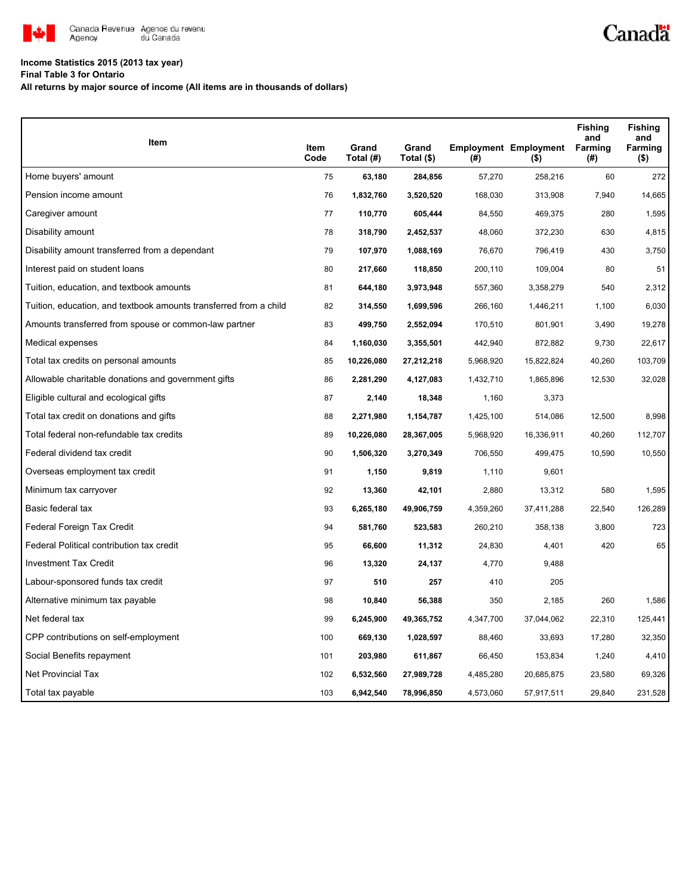

# **Income Statistics 2015 (2013 tax year)**

**Final Table 3 for Ontario**

**All returns by major source of income (All items are in thousands of dollars)**

| Item                                                              |              | Grand      | Grand      |           | <b>Employment Employment</b> | <b>Fishing</b><br>and<br>Farming | <b>Fishing</b><br>and<br>Farming |
|-------------------------------------------------------------------|--------------|------------|------------|-----------|------------------------------|----------------------------------|----------------------------------|
|                                                                   | Item<br>Code | Total (#)  | Total (\$) | (#)       | (\$)                         | (#)                              | $($ \$)                          |
| Home buyers' amount                                               | 75           | 63,180     | 284,856    | 57,270    | 258,216                      | 60                               | 272                              |
| Pension income amount                                             | 76           | 1,832,760  | 3,520,520  | 168,030   | 313,908                      | 7,940                            | 14,665                           |
| Caregiver amount                                                  | 77           | 110,770    | 605,444    | 84,550    | 469,375                      | 280                              | 1,595                            |
| Disability amount                                                 | 78           | 318,790    | 2,452,537  | 48,060    | 372,230                      | 630                              | 4,815                            |
| Disability amount transferred from a dependant                    | 79           | 107,970    | 1,088,169  | 76,670    | 796,419                      | 430                              | 3,750                            |
| Interest paid on student loans                                    | 80           | 217,660    | 118,850    | 200,110   | 109.004                      | 80                               | 51                               |
| Tuition, education, and textbook amounts                          | 81           | 644,180    | 3,973,948  | 557,360   | 3,358,279                    | 540                              | 2,312                            |
| Tuition, education, and textbook amounts transferred from a child | 82           | 314,550    | 1,699,596  | 266,160   | 1,446,211                    | 1,100                            | 6,030                            |
| Amounts transferred from spouse or common-law partner             | 83           | 499,750    | 2,552,094  | 170,510   | 801,901                      | 3,490                            | 19,278                           |
| Medical expenses                                                  | 84           | 1,160,030  | 3,355,501  | 442,940   | 872,882                      | 9,730                            | 22,617                           |
| Total tax credits on personal amounts                             | 85           | 10,226,080 | 27,212,218 | 5,968,920 | 15,822,824                   | 40,260                           | 103,709                          |
| Allowable charitable donations and government gifts               | 86           | 2,281,290  | 4,127,083  | 1,432,710 | 1,865,896                    | 12,530                           | 32,028                           |
| Eligible cultural and ecological gifts                            | 87           | 2,140      | 18,348     | 1,160     | 3,373                        |                                  |                                  |
| Total tax credit on donations and gifts                           | 88           | 2,271,980  | 1,154,787  | 1,425,100 | 514,086                      | 12,500                           | 8,998                            |
| Total federal non-refundable tax credits                          | 89           | 10,226,080 | 28,367,005 | 5,968,920 | 16,336,911                   | 40,260                           | 112,707                          |
| Federal dividend tax credit                                       | 90           | 1,506,320  | 3,270,349  | 706,550   | 499,475                      | 10,590                           | 10,550                           |
| Overseas employment tax credit                                    | 91           | 1,150      | 9,819      | 1,110     | 9,601                        |                                  |                                  |
| Minimum tax carryover                                             | 92           | 13,360     | 42,101     | 2,880     | 13,312                       | 580                              | 1,595                            |
| Basic federal tax                                                 | 93           | 6,265,180  | 49,906,759 | 4,359,260 | 37,411,288                   | 22,540                           | 126,289                          |
| Federal Foreign Tax Credit                                        | 94           | 581,760    | 523,583    | 260,210   | 358,138                      | 3,800                            | 723                              |
| Federal Political contribution tax credit                         | 95           | 66,600     | 11,312     | 24,830    | 4,401                        | 420                              | 65                               |
| <b>Investment Tax Credit</b>                                      | 96           | 13,320     | 24,137     | 4,770     | 9,488                        |                                  |                                  |
| Labour-sponsored funds tax credit                                 | 97           | 510        | 257        | 410       | 205                          |                                  |                                  |
| Alternative minimum tax payable                                   | 98           | 10,840     | 56,388     | 350       | 2,185                        | 260                              | 1,586                            |
| Net federal tax                                                   | 99           | 6,245,900  | 49,365,752 | 4,347,700 | 37,044,062                   | 22,310                           | 125,441                          |
| CPP contributions on self-employment                              | 100          | 669,130    | 1,028,597  | 88,460    | 33,693                       | 17,280                           | 32,350                           |
| Social Benefits repayment                                         | 101          | 203,980    | 611,867    | 66,450    | 153,834                      | 1,240                            | 4,410                            |
| Net Provincial Tax                                                | 102          | 6,532,560  | 27,989,728 | 4,485,280 | 20,685,875                   | 23,580                           | 69,326                           |
| Total tax payable                                                 | 103          | 6,942,540  | 78,996,850 | 4,573,060 | 57,917,511                   | 29,840                           | 231,528                          |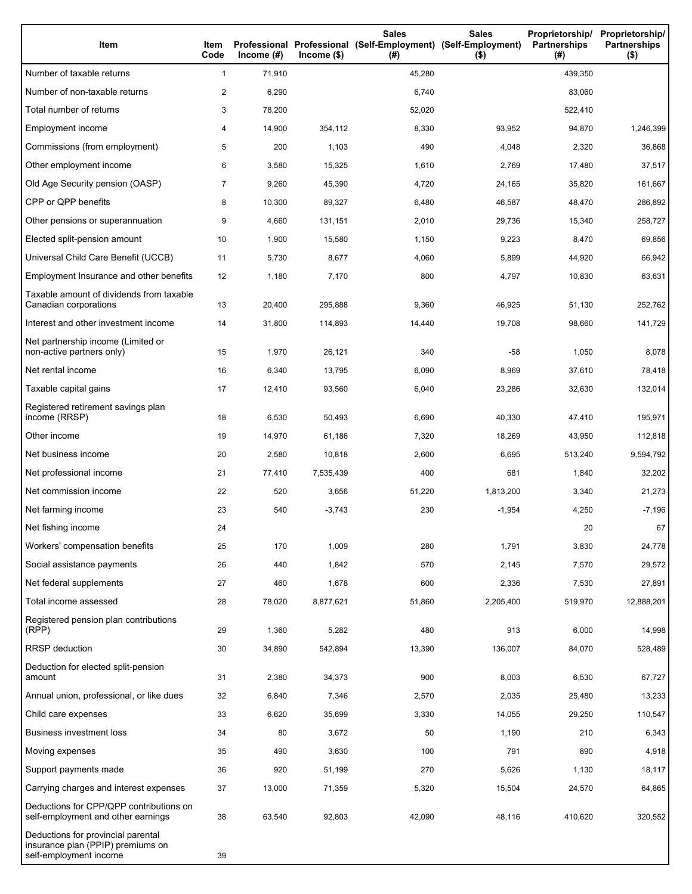| Item                                                                                              | Item<br>Code   | Income $(#)$ | $Income$ (\$) | <b>Sales</b><br>Professional Professional (Self-Employment) (Self-Employment)<br>(#) | <b>Sales</b><br>$($ \$) | Proprietorship/<br><b>Partnerships</b><br>(#) | Proprietorship/<br><b>Partnerships</b><br>$($ \$) |
|---------------------------------------------------------------------------------------------------|----------------|--------------|---------------|--------------------------------------------------------------------------------------|-------------------------|-----------------------------------------------|---------------------------------------------------|
| Number of taxable returns                                                                         | $\mathbf{1}$   | 71,910       |               | 45,280                                                                               |                         | 439,350                                       |                                                   |
| Number of non-taxable returns                                                                     | $\overline{c}$ | 6,290        |               | 6,740                                                                                |                         | 83,060                                        |                                                   |
| Total number of returns                                                                           | 3              | 78,200       |               | 52,020                                                                               |                         | 522,410                                       |                                                   |
| Employment income                                                                                 | 4              | 14,900       | 354,112       | 8,330                                                                                | 93,952                  | 94,870                                        | 1,246,399                                         |
| Commissions (from employment)                                                                     | 5              | 200          | 1,103         | 490                                                                                  | 4,048                   | 2,320                                         | 36,868                                            |
| Other employment income                                                                           | 6              | 3,580        | 15,325        | 1,610                                                                                | 2,769                   | 17,480                                        | 37,517                                            |
| Old Age Security pension (OASP)                                                                   | $\overline{7}$ | 9,260        | 45,390        | 4,720                                                                                | 24,165                  | 35,820                                        | 161,667                                           |
| CPP or QPP benefits                                                                               | 8              | 10,300       | 89,327        | 6,480                                                                                | 46,587                  | 48,470                                        | 286,892                                           |
| Other pensions or superannuation                                                                  | 9              | 4,660        | 131,151       | 2,010                                                                                | 29,736                  | 15,340                                        | 258,727                                           |
| Elected split-pension amount                                                                      | 10             | 1,900        | 15,580        | 1,150                                                                                | 9,223                   | 8,470                                         | 69,856                                            |
| Universal Child Care Benefit (UCCB)                                                               | 11             | 5,730        | 8,677         | 4,060                                                                                | 5,899                   | 44,920                                        | 66,942                                            |
| Employment Insurance and other benefits                                                           | 12             | 1,180        | 7,170         | 800                                                                                  | 4,797                   | 10,830                                        | 63,631                                            |
| Taxable amount of dividends from taxable<br>Canadian corporations                                 | 13             | 20,400       | 295,888       | 9,360                                                                                | 46,925                  | 51,130                                        | 252,762                                           |
| Interest and other investment income                                                              | 14             | 31,800       | 114,893       | 14,440                                                                               | 19,708                  | 98,660                                        | 141,729                                           |
| Net partnership income (Limited or<br>non-active partners only)                                   | 15             | 1,970        | 26,121        | 340                                                                                  | -58                     | 1,050                                         | 8,078                                             |
| Net rental income                                                                                 | 16             | 6,340        | 13,795        | 6,090                                                                                | 8,969                   | 37,610                                        | 78,418                                            |
| Taxable capital gains                                                                             | 17             | 12,410       | 93,560        | 6,040                                                                                | 23,286                  | 32,630                                        | 132,014                                           |
| Registered retirement savings plan<br>income (RRSP)                                               | 18             | 6,530        | 50,493        | 6,690                                                                                | 40,330                  | 47,410                                        | 195,971                                           |
| Other income                                                                                      | 19             | 14,970       | 61,186        | 7,320                                                                                | 18,269                  | 43,950                                        | 112,818                                           |
| Net business income                                                                               | 20             | 2,580        | 10,818        | 2,600                                                                                | 6,695                   | 513,240                                       | 9,594,792                                         |
| Net professional income                                                                           | 21             | 77,410       | 7,535,439     | 400                                                                                  | 681                     | 1,840                                         | 32,202                                            |
| Net commission income                                                                             | 22             | 520          | 3,656         | 51,220                                                                               | 1,813,200               | 3,340                                         | 21,273                                            |
| Net farming income                                                                                | 23             | 540          | $-3,743$      | 230                                                                                  | $-1,954$                | 4,250                                         | $-7,196$                                          |
| Net fishing income                                                                                | 24             |              |               |                                                                                      |                         | 20                                            | 67                                                |
| Workers' compensation benefits                                                                    | 25             | 170          | 1,009         | 280                                                                                  | 1,791                   | 3,830                                         | 24,778                                            |
| Social assistance payments                                                                        | 26             | 440          | 1,842         | 570                                                                                  | 2,145                   | 7,570                                         | 29,572                                            |
| Net federal supplements                                                                           | 27             | 460          | 1,678         | 600                                                                                  | 2,336                   | 7,530                                         | 27,891                                            |
| Total income assessed                                                                             | 28             | 78,020       | 8,877,621     | 51,860                                                                               | 2,205,400               | 519,970                                       | 12,888,201                                        |
| Registered pension plan contributions<br>(RPP)                                                    | 29             | 1,360        | 5,282         | 480                                                                                  | 913                     | 6,000                                         | 14,998                                            |
| RRSP deduction                                                                                    | 30             | 34,890       | 542,894       | 13,390                                                                               | 136,007                 | 84,070                                        | 528,489                                           |
| Deduction for elected split-pension<br>amount                                                     | 31             | 2,380        | 34,373        | 900                                                                                  | 8,003                   | 6,530                                         | 67,727                                            |
| Annual union, professional, or like dues                                                          | 32             | 6,840        | 7,346         | 2,570                                                                                | 2,035                   | 25,480                                        | 13,233                                            |
| Child care expenses                                                                               | 33             | 6,620        | 35,699        | 3,330                                                                                | 14,055                  | 29,250                                        | 110,547                                           |
| <b>Business investment loss</b>                                                                   | 34             | 80           | 3,672         | 50                                                                                   | 1,190                   | 210                                           | 6,343                                             |
| Moving expenses                                                                                   | 35             | 490          | 3,630         | 100                                                                                  | 791                     | 890                                           | 4,918                                             |
| Support payments made                                                                             | 36             | 920          | 51,199        | 270                                                                                  | 5,626                   | 1,130                                         | 18,117                                            |
| Carrying charges and interest expenses                                                            | 37             | 13,000       | 71,359        | 5,320                                                                                | 15,504                  | 24,570                                        | 64,865                                            |
| Deductions for CPP/QPP contributions on<br>self-employment and other earnings                     | 38             | 63,540       | 92,803        | 42,090                                                                               | 48,116                  | 410,620                                       | 320,552                                           |
| Deductions for provincial parental<br>insurance plan (PPIP) premiums on<br>self-employment income | 39             |              |               |                                                                                      |                         |                                               |                                                   |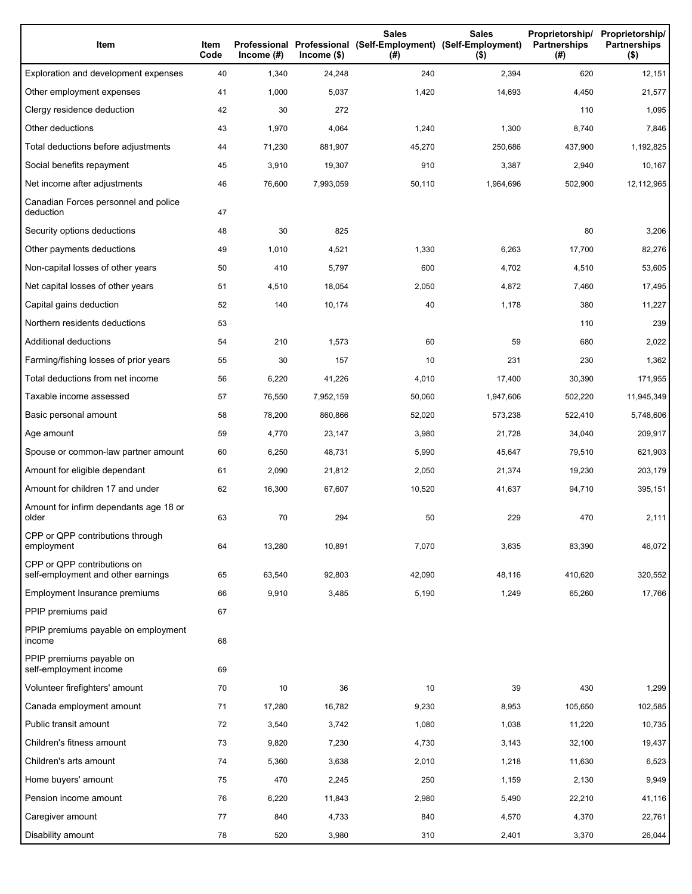| Item                                                              | Item<br>Code | Income (#) | $lncome$ (\$) | <b>Sales</b><br>Professional Professional (Self-Employment) (Self-Employment)<br>(#) | <b>Sales</b><br>$($ \$) | Proprietorship/<br><b>Partnerships</b><br>(#) | Proprietorship/<br><b>Partnerships</b><br>$($ \$) |
|-------------------------------------------------------------------|--------------|------------|---------------|--------------------------------------------------------------------------------------|-------------------------|-----------------------------------------------|---------------------------------------------------|
| Exploration and development expenses                              | 40           | 1,340      | 24,248        | 240                                                                                  | 2,394                   | 620                                           | 12,151                                            |
| Other employment expenses                                         | 41           | 1,000      | 5,037         | 1,420                                                                                | 14,693                  | 4,450                                         | 21,577                                            |
| Clergy residence deduction                                        | 42           | 30         | 272           |                                                                                      |                         | 110                                           | 1,095                                             |
| Other deductions                                                  | 43           | 1,970      | 4,064         | 1,240                                                                                | 1,300                   | 8,740                                         | 7,846                                             |
| Total deductions before adjustments                               | 44           | 71,230     | 881,907       | 45,270                                                                               | 250,686                 | 437,900                                       | 1,192,825                                         |
| Social benefits repayment                                         | 45           | 3,910      | 19,307        | 910                                                                                  | 3,387                   | 2,940                                         | 10,167                                            |
| Net income after adjustments                                      | 46           | 76,600     | 7,993,059     | 50,110                                                                               | 1,964,696               | 502,900                                       | 12,112,965                                        |
| Canadian Forces personnel and police<br>deduction                 | 47           |            |               |                                                                                      |                         |                                               |                                                   |
| Security options deductions                                       | 48           | 30         | 825           |                                                                                      |                         | 80                                            | 3,206                                             |
| Other payments deductions                                         | 49           | 1,010      | 4,521         | 1,330                                                                                | 6,263                   | 17,700                                        | 82,276                                            |
| Non-capital losses of other years                                 | 50           | 410        | 5,797         | 600                                                                                  | 4,702                   | 4,510                                         | 53,605                                            |
| Net capital losses of other years                                 | 51           | 4,510      | 18,054        | 2,050                                                                                | 4,872                   | 7,460                                         | 17,495                                            |
| Capital gains deduction                                           | 52           | 140        | 10,174        | 40                                                                                   | 1,178                   | 380                                           | 11,227                                            |
| Northern residents deductions                                     | 53           |            |               |                                                                                      |                         | 110                                           | 239                                               |
| Additional deductions                                             | 54           | 210        | 1,573         | 60                                                                                   | 59                      | 680                                           | 2,022                                             |
| Farming/fishing losses of prior years                             | 55           | 30         | 157           | 10                                                                                   | 231                     | 230                                           | 1,362                                             |
| Total deductions from net income                                  | 56           | 6,220      | 41,226        | 4,010                                                                                | 17,400                  | 30,390                                        | 171,955                                           |
| Taxable income assessed                                           | 57           | 76,550     | 7,952,159     | 50,060                                                                               | 1,947,606               | 502,220                                       | 11,945,349                                        |
| Basic personal amount                                             | 58           | 78,200     | 860,866       | 52,020                                                                               | 573,238                 | 522,410                                       | 5,748,606                                         |
| Age amount                                                        | 59           | 4,770      | 23,147        | 3,980                                                                                | 21,728                  | 34,040                                        | 209,917                                           |
| Spouse or common-law partner amount                               | 60           | 6,250      | 48,731        | 5,990                                                                                | 45,647                  | 79,510                                        | 621,903                                           |
| Amount for eligible dependant                                     | 61           | 2,090      | 21,812        | 2,050                                                                                | 21,374                  | 19,230                                        | 203,179                                           |
| Amount for children 17 and under                                  | 62           | 16,300     | 67,607        | 10,520                                                                               | 41,637                  | 94,710                                        | 395,151                                           |
| Amount for infirm dependants age 18 or<br>older                   | 63           | 70         | 294           | 50                                                                                   | 229                     | 470                                           | 2,111                                             |
| CPP or QPP contributions through<br>employment                    | 64           | 13,280     | 10,891        | 7,070                                                                                | 3,635                   | 83,390                                        | 46,072                                            |
| CPP or QPP contributions on<br>self-employment and other earnings | 65           | 63,540     | 92,803        | 42,090                                                                               | 48,116                  | 410,620                                       | 320,552                                           |
| Employment Insurance premiums                                     | 66           | 9,910      | 3,485         | 5,190                                                                                | 1,249                   | 65,260                                        | 17,766                                            |
| PPIP premiums paid                                                | 67           |            |               |                                                                                      |                         |                                               |                                                   |
| PPIP premiums payable on employment<br>income                     | 68           |            |               |                                                                                      |                         |                                               |                                                   |
| PPIP premiums payable on<br>self-employment income                | 69           |            |               |                                                                                      |                         |                                               |                                                   |
| Volunteer firefighters' amount                                    | 70           | 10         | 36            | 10                                                                                   | 39                      | 430                                           | 1,299                                             |
| Canada employment amount                                          | 71           | 17,280     | 16,782        | 9,230                                                                                | 8,953                   | 105,650                                       | 102,585                                           |
| Public transit amount                                             | 72           | 3,540      | 3,742         | 1,080                                                                                | 1,038                   | 11,220                                        | 10,735                                            |
| Children's fitness amount                                         | 73           | 9,820      | 7,230         | 4,730                                                                                | 3,143                   | 32,100                                        | 19,437                                            |
| Children's arts amount                                            | 74           | 5,360      | 3,638         | 2,010                                                                                | 1,218                   | 11,630                                        | 6,523                                             |
| Home buyers' amount                                               | 75           | 470        | 2,245         | 250                                                                                  | 1,159                   | 2,130                                         | 9,949                                             |
| Pension income amount                                             | 76           | 6,220      | 11,843        | 2,980                                                                                | 5,490                   | 22,210                                        | 41,116                                            |
| Caregiver amount                                                  | 77           | 840        | 4,733         | 840                                                                                  | 4,570                   | 4,370                                         | 22,761                                            |
| Disability amount                                                 | 78           | 520        | 3,980         | 310                                                                                  | 2,401                   | 3,370                                         | 26,044                                            |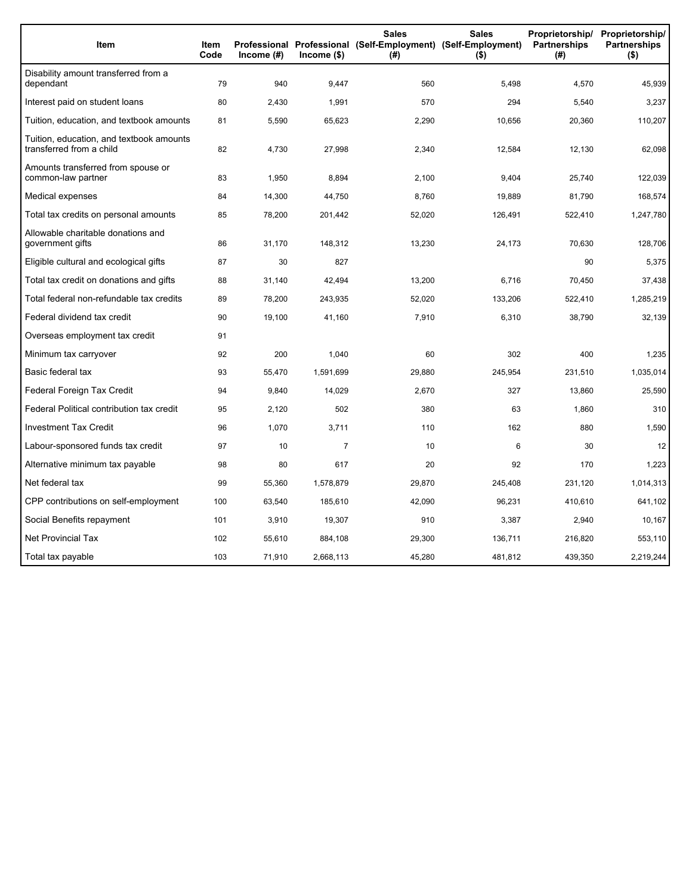| Item                                                                 | Item<br>Code | Income $(#)$ | Income (\$)    | <b>Sales</b><br>(#) | <b>Sales</b><br>Proprietorship/<br>Professional Professional (Self-Employment) (Self-Employment)<br><b>Partnerships</b><br>$($ \$) |         | Proprietorship/<br><b>Partnerships</b><br>$($ \$) |
|----------------------------------------------------------------------|--------------|--------------|----------------|---------------------|------------------------------------------------------------------------------------------------------------------------------------|---------|---------------------------------------------------|
| Disability amount transferred from a<br>dependant                    | 79           | 940          | 9,447          | 560                 | 5,498                                                                                                                              | 4,570   | 45,939                                            |
| Interest paid on student loans                                       | 80           | 2,430        | 1,991          | 570                 | 294                                                                                                                                | 5,540   | 3,237                                             |
| Tuition, education, and textbook amounts                             | 81           | 5,590        | 65,623         | 2,290               | 10,656                                                                                                                             | 20,360  | 110,207                                           |
| Tuition, education, and textbook amounts<br>transferred from a child | 82           | 4,730        | 27,998         | 2,340               | 12,584                                                                                                                             | 12,130  | 62,098                                            |
| Amounts transferred from spouse or<br>common-law partner             | 83           | 1,950        | 8,894          | 2,100               | 9,404                                                                                                                              | 25,740  | 122,039                                           |
| Medical expenses                                                     | 84           | 14,300       | 44,750         | 8,760               | 19,889                                                                                                                             | 81,790  | 168,574                                           |
| Total tax credits on personal amounts                                | 85           | 78,200       | 201,442        | 52,020              | 126,491                                                                                                                            | 522,410 | 1,247,780                                         |
| Allowable charitable donations and<br>government gifts               | 86           | 31,170       | 148,312        | 13,230              | 24,173                                                                                                                             | 70,630  | 128,706                                           |
| Eligible cultural and ecological gifts                               | 87           | 30           | 827            |                     |                                                                                                                                    | 90      | 5,375                                             |
| Total tax credit on donations and gifts                              | 88           | 31,140       | 42,494         | 13,200              | 6,716                                                                                                                              | 70,450  | 37,438                                            |
| Total federal non-refundable tax credits                             | 89           | 78,200       | 243,935        | 52,020              | 133,206                                                                                                                            | 522,410 | 1,285,219                                         |
| Federal dividend tax credit                                          | 90           | 19,100       | 41,160         | 7,910               | 6,310                                                                                                                              | 38,790  | 32,139                                            |
| Overseas employment tax credit                                       | 91           |              |                |                     |                                                                                                                                    |         |                                                   |
| Minimum tax carryover                                                | 92           | 200          | 1,040          | 60                  | 302                                                                                                                                | 400     | 1,235                                             |
| Basic federal tax                                                    | 93           | 55,470       | 1,591,699      | 29,880              | 245,954                                                                                                                            | 231,510 | 1,035,014                                         |
| Federal Foreign Tax Credit                                           | 94           | 9,840        | 14,029         | 2,670               | 327                                                                                                                                | 13,860  | 25,590                                            |
| Federal Political contribution tax credit                            | 95           | 2,120        | 502            | 380                 | 63                                                                                                                                 | 1,860   | 310                                               |
| <b>Investment Tax Credit</b>                                         | 96           | 1,070        | 3,711          | 110                 | 162                                                                                                                                | 880     | 1,590                                             |
| Labour-sponsored funds tax credit                                    | 97           | 10           | $\overline{7}$ | 10                  | 6                                                                                                                                  | 30      | 12                                                |
| Alternative minimum tax payable                                      | 98           | 80           | 617            | 20                  | 92                                                                                                                                 | 170     | 1,223                                             |
| Net federal tax                                                      | 99           | 55,360       | 1,578,879      | 29,870              | 245,408                                                                                                                            | 231,120 | 1,014,313                                         |
| CPP contributions on self-employment                                 | 100          | 63,540       | 185,610        | 42,090              | 96,231                                                                                                                             | 410,610 | 641,102                                           |
| Social Benefits repayment                                            | 101          | 3,910        | 19,307         | 910                 | 3,387                                                                                                                              | 2,940   | 10,167                                            |
| <b>Net Provincial Tax</b>                                            | 102          | 55,610       | 884,108        | 29,300              | 136,711                                                                                                                            | 216,820 | 553,110                                           |
| Total tax payable                                                    | 103          | 71,910       | 2,668,113      | 45,280              | 481,812                                                                                                                            | 439,350 | 2,219,244                                         |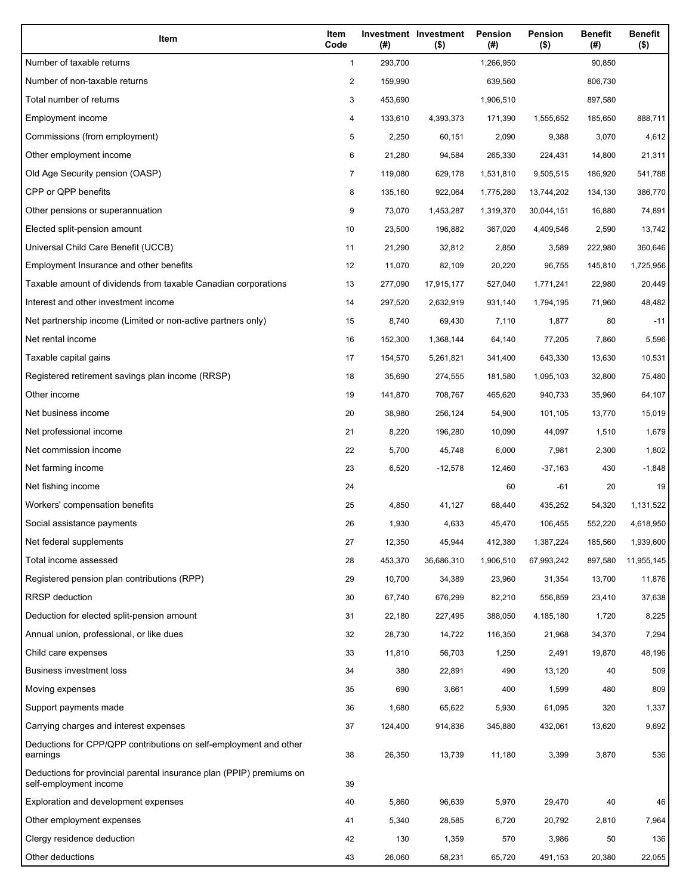| Item                                                                                           | Item<br>Code   | (#)     | Investment Investment<br>$($ \$) | Pension<br>(#) | <b>Pension</b><br>$($ \$) | <b>Benefit</b><br>(#) | <b>Benefit</b><br>$($ \$) |
|------------------------------------------------------------------------------------------------|----------------|---------|----------------------------------|----------------|---------------------------|-----------------------|---------------------------|
| Number of taxable returns                                                                      | $\mathbf{1}$   | 293,700 |                                  | 1,266,950      |                           | 90,850                |                           |
| Number of non-taxable returns                                                                  | $\overline{c}$ | 159,990 |                                  | 639,560        |                           | 806,730               |                           |
| Total number of returns                                                                        | 3              | 453,690 |                                  | 1,906,510      |                           | 897,580               |                           |
| Employment income                                                                              | 4              | 133,610 | 4,393,373                        | 171,390        | 1,555,652                 | 185,650               | 888,711                   |
| Commissions (from employment)                                                                  | 5              | 2,250   | 60,151                           | 2,090          | 9,388                     | 3,070                 | 4,612                     |
| Other employment income                                                                        | 6              | 21,280  | 94,584                           | 265,330        | 224,431                   | 14,800                | 21,311                    |
| Old Age Security pension (OASP)                                                                | $\overline{7}$ | 119,080 | 629,178                          | 1,531,810      | 9,505,515                 | 186,920               | 541,788                   |
| CPP or QPP benefits                                                                            | 8              | 135,160 | 922,064                          | 1,775,280      | 13,744,202                | 134,130               | 386,770                   |
| Other pensions or superannuation                                                               | 9              | 73,070  | 1,453,287                        | 1,319,370      | 30,044,151                | 16,880                | 74,891                    |
| Elected split-pension amount                                                                   | 10             | 23,500  | 196,882                          | 367,020        | 4,409,546                 | 2,590                 | 13,742                    |
| Universal Child Care Benefit (UCCB)                                                            | 11             | 21,290  | 32,812                           | 2,850          | 3,589                     | 222,980               | 360,646                   |
| Employment Insurance and other benefits                                                        | 12             | 11,070  | 82,109                           | 20,220         | 96,755                    | 145,810               | 1,725,956                 |
| Taxable amount of dividends from taxable Canadian corporations                                 | 13             | 277,090 | 17,915,177                       | 527,040        | 1,771,241                 | 22,980                | 20,449                    |
| Interest and other investment income                                                           | 14             | 297,520 | 2,632,919                        | 931,140        | 1,794,195                 | 71,960                | 48,482                    |
| Net partnership income (Limited or non-active partners only)                                   | 15             | 8,740   | 69,430                           | 7,110          | 1,877                     | 80                    | $-11$                     |
| Net rental income                                                                              | 16             | 152,300 | 1,368,144                        | 64,140         | 77,205                    | 7,860                 | 5,596                     |
| Taxable capital gains                                                                          | 17             | 154,570 | 5,261,821                        | 341,400        | 643,330                   | 13,630                | 10,531                    |
| Registered retirement savings plan income (RRSP)                                               | 18             | 35,690  | 274,555                          | 181,580        | 1,095,103                 | 32,800                | 75,480                    |
| Other income                                                                                   | 19             | 141,870 | 708,767                          | 465,620        | 940,733                   | 35,960                | 64,107                    |
| Net business income                                                                            | 20             | 38,980  | 256,124                          | 54,900         | 101,105                   | 13,770                | 15,019                    |
| Net professional income                                                                        | 21             | 8,220   | 196,280                          | 10,090         | 44,097                    | 1,510                 | 1,679                     |
| Net commission income                                                                          | 22             | 5,700   | 45,748                           | 6,000          | 7,981                     | 2,300                 | 1,802                     |
| Net farming income                                                                             | 23             | 6,520   | $-12,578$                        | 12,460         | $-37,163$                 | 430                   | $-1,848$                  |
| Net fishing income                                                                             | 24             |         |                                  | 60             | $-61$                     | 20                    | 19                        |
| Workers' compensation benefits                                                                 | 25             | 4,850   | 41,127                           | 68,440         | 435,252                   | 54,320                | 1,131,522                 |
| Social assistance payments                                                                     | 26             | 1,930   | 4,633                            | 45,470         | 106,455                   | 552,220               | 4,618,950                 |
| Net federal supplements                                                                        | 27             | 12,350  | 45,944                           | 412,380        | 1,387,224                 | 185,560               | 1,939,600                 |
| Total income assessed                                                                          | 28             | 453,370 | 36,686,310                       | 1,906,510      | 67,993,242                | 897,580               | 11,955,145                |
| Registered pension plan contributions (RPP)                                                    | 29             | 10,700  | 34,389                           | 23,960         | 31,354                    | 13,700                | 11,876                    |
| <b>RRSP</b> deduction                                                                          | 30             | 67,740  | 676,299                          | 82,210         | 556,859                   | 23,410                | 37,638                    |
| Deduction for elected split-pension amount                                                     | 31             | 22,180  | 227,495                          | 388,050        | 4,185,180                 | 1,720                 | 8,225                     |
| Annual union, professional, or like dues                                                       | 32             | 28,730  | 14,722                           | 116,350        | 21,968                    | 34,370                | 7,294                     |
| Child care expenses                                                                            | 33             | 11,810  | 56,703                           | 1,250          | 2,491                     | 19,870                | 48,196                    |
| <b>Business investment loss</b>                                                                | 34             | 380     | 22,891                           | 490            | 13,120                    | 40                    | 509                       |
| Moving expenses                                                                                | 35             | 690     | 3,661                            | 400            | 1,599                     | 480                   | 809                       |
| Support payments made                                                                          | 36             | 1,680   | 65,622                           | 5,930          | 61,095                    | 320                   | 1,337                     |
| Carrying charges and interest expenses                                                         | 37             | 124,400 | 914,836                          | 345,880        | 432,061                   | 13,620                | 9,692                     |
| Deductions for CPP/QPP contributions on self-employment and other<br>earnings                  | 38             | 26,350  | 13,739                           | 11,180         | 3,399                     | 3,870                 | 536                       |
| Deductions for provincial parental insurance plan (PPIP) premiums on<br>self-employment income | 39             |         |                                  |                |                           |                       |                           |
| Exploration and development expenses                                                           | 40             | 5,860   | 96,639                           | 5,970          | 29,470                    | 40                    | 46                        |
| Other employment expenses                                                                      | 41             | 5,340   | 28,585                           | 6,720          | 20,792                    | 2,810                 | 7,964                     |
| Clergy residence deduction                                                                     | 42             | 130     | 1,359                            | 570            | 3,986                     | 50                    | 136                       |
| Other deductions                                                                               | 43             | 26,060  | 58,231                           | 65,720         | 491,153                   | 20,380                | 22,055                    |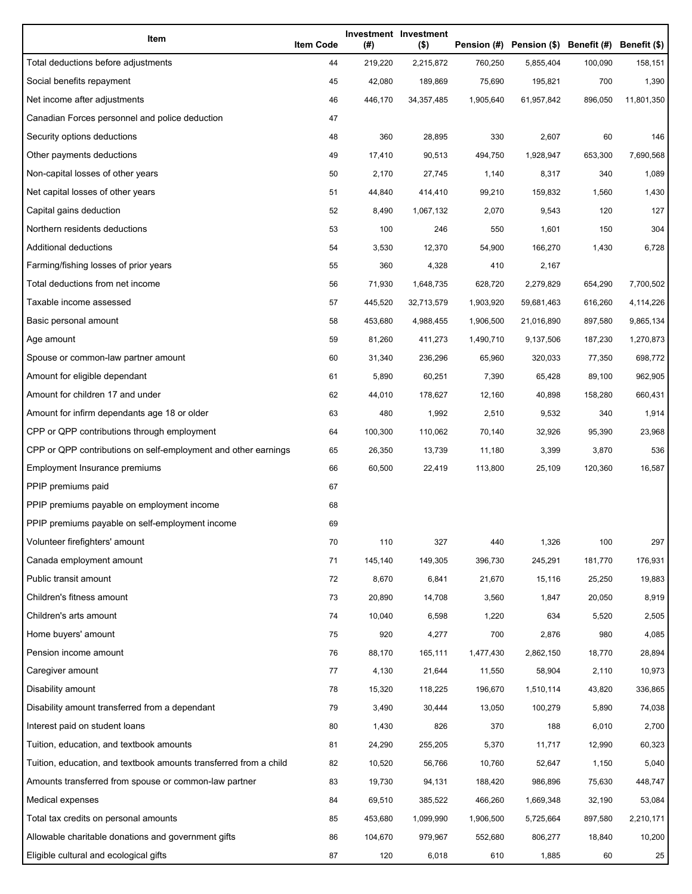| Item                                                              | <b>Item Code</b> | (#)     | Investment Investment<br>$($ \$) |           | Pension (#) Pension (\$) Benefit (#) Benefit (\$) |         |            |
|-------------------------------------------------------------------|------------------|---------|----------------------------------|-----------|---------------------------------------------------|---------|------------|
| Total deductions before adjustments                               | 44               | 219,220 | 2,215,872                        | 760,250   | 5,855,404                                         | 100,090 | 158,151    |
| Social benefits repayment                                         | 45               | 42,080  | 189,869                          | 75,690    | 195,821                                           | 700     | 1,390      |
| Net income after adjustments                                      | 46               | 446,170 | 34, 357, 485                     | 1,905,640 | 61,957,842                                        | 896,050 | 11,801,350 |
| Canadian Forces personnel and police deduction                    | 47               |         |                                  |           |                                                   |         |            |
| Security options deductions                                       | 48               | 360     | 28,895                           | 330       | 2,607                                             | 60      | 146        |
| Other payments deductions                                         | 49               | 17,410  | 90,513                           | 494,750   | 1,928,947                                         | 653,300 | 7,690,568  |
| Non-capital losses of other years                                 | 50               | 2,170   | 27,745                           | 1,140     | 8,317                                             | 340     | 1,089      |
| Net capital losses of other years                                 | 51               | 44,840  | 414,410                          | 99,210    | 159,832                                           | 1,560   | 1,430      |
| Capital gains deduction                                           | 52               | 8,490   | 1,067,132                        | 2,070     | 9,543                                             | 120     | 127        |
| Northern residents deductions                                     | 53               | 100     | 246                              | 550       | 1,601                                             | 150     | 304        |
| Additional deductions                                             | 54               | 3,530   | 12,370                           | 54,900    | 166,270                                           | 1,430   | 6,728      |
| Farming/fishing losses of prior years                             | 55               | 360     | 4,328                            | 410       | 2,167                                             |         |            |
| Total deductions from net income                                  | 56               | 71,930  | 1,648,735                        | 628,720   | 2,279,829                                         | 654,290 | 7,700,502  |
| Taxable income assessed                                           | 57               | 445,520 | 32,713,579                       | 1,903,920 | 59,681,463                                        | 616,260 | 4,114,226  |
| Basic personal amount                                             | 58               | 453,680 | 4,988,455                        | 1,906,500 | 21,016,890                                        | 897,580 | 9,865,134  |
| Age amount                                                        | 59               | 81,260  | 411,273                          | 1,490,710 | 9,137,506                                         | 187,230 | 1,270,873  |
| Spouse or common-law partner amount                               | 60               | 31,340  | 236,296                          | 65,960    | 320,033                                           | 77,350  | 698,772    |
| Amount for eligible dependant                                     | 61               | 5,890   | 60,251                           | 7,390     | 65,428                                            | 89,100  | 962,905    |
| Amount for children 17 and under                                  | 62               | 44,010  | 178,627                          | 12,160    | 40,898                                            | 158,280 | 660,431    |
| Amount for infirm dependants age 18 or older                      | 63               | 480     | 1,992                            | 2,510     | 9,532                                             | 340     | 1,914      |
| CPP or QPP contributions through employment                       | 64               | 100,300 | 110,062                          | 70,140    | 32,926                                            | 95,390  | 23,968     |
| CPP or QPP contributions on self-employment and other earnings    | 65               | 26,350  | 13,739                           | 11,180    | 3,399                                             | 3,870   | 536        |
| Employment Insurance premiums                                     | 66               | 60,500  | 22,419                           | 113,800   | 25,109                                            | 120,360 | 16,587     |
| PPIP premiums paid                                                | 67               |         |                                  |           |                                                   |         |            |
| PPIP premiums payable on employment income                        | 68               |         |                                  |           |                                                   |         |            |
| PPIP premiums payable on self-employment income                   | 69               |         |                                  |           |                                                   |         |            |
| Volunteer firefighters' amount                                    | 70               | 110     | 327                              | 440       | 1,326                                             | 100     | 297        |
| Canada employment amount                                          | 71               | 145,140 | 149,305                          | 396,730   | 245,291                                           | 181,770 | 176,931    |
| Public transit amount                                             | 72               | 8,670   | 6,841                            | 21,670    | 15,116                                            | 25,250  | 19,883     |
| Children's fitness amount                                         | 73               | 20,890  | 14,708                           | 3,560     | 1,847                                             | 20,050  | 8,919      |
| Children's arts amount                                            | 74               | 10,040  | 6,598                            | 1,220     | 634                                               | 5,520   | 2,505      |
| Home buyers' amount                                               | 75               | 920     | 4,277                            | 700       | 2,876                                             | 980     | 4,085      |
| Pension income amount                                             | 76               | 88,170  | 165,111                          | 1,477,430 | 2,862,150                                         | 18,770  | 28,894     |
| Caregiver amount                                                  | 77               | 4,130   | 21,644                           | 11,550    | 58,904                                            | 2,110   | 10,973     |
| Disability amount                                                 | 78               | 15,320  | 118,225                          | 196,670   | 1,510,114                                         | 43,820  | 336,865    |
| Disability amount transferred from a dependant                    | 79               | 3,490   | 30,444                           | 13,050    | 100,279                                           | 5,890   | 74,038     |
| Interest paid on student loans                                    | 80               | 1,430   | 826                              | 370       | 188                                               | 6,010   | 2,700      |
| Tuition, education, and textbook amounts                          | 81               | 24,290  | 255,205                          | 5,370     | 11,717                                            | 12,990  | 60,323     |
| Tuition, education, and textbook amounts transferred from a child | 82               | 10,520  | 56,766                           | 10,760    | 52,647                                            | 1,150   | 5,040      |
| Amounts transferred from spouse or common-law partner             | 83               | 19,730  | 94,131                           | 188,420   | 986,896                                           | 75,630  | 448,747    |
| Medical expenses                                                  | 84               | 69,510  | 385,522                          | 466,260   | 1,669,348                                         | 32,190  | 53,084     |
| Total tax credits on personal amounts                             | 85               | 453,680 | 1,099,990                        | 1,906,500 | 5,725,664                                         | 897,580 | 2,210,171  |
| Allowable charitable donations and government gifts               | 86               | 104,670 | 979,967                          | 552,680   | 806,277                                           | 18,840  | 10,200     |
| Eligible cultural and ecological gifts                            | 87               | 120     | 6,018                            | 610       | 1,885                                             | 60      | 25         |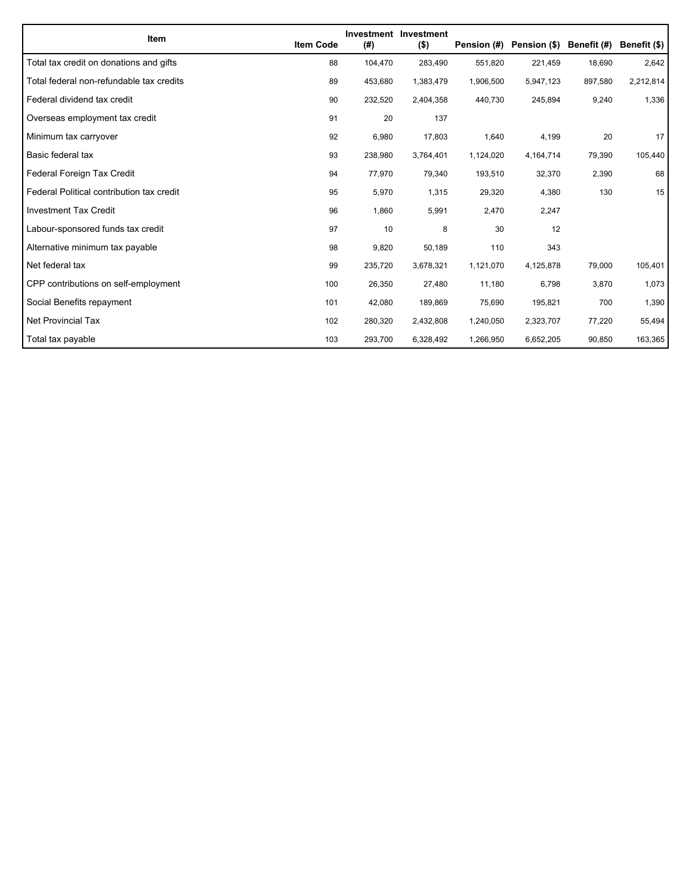| <b>Item</b>                               | <b>Item Code</b> | (#)     | Investment Investment<br>$($ \$) | Pension (#) | Pension (\$) Benefit (#) |         | Benefit (\$) |
|-------------------------------------------|------------------|---------|----------------------------------|-------------|--------------------------|---------|--------------|
| Total tax credit on donations and gifts   | 88               | 104,470 | 283.490                          | 551,820     | 221,459                  | 18,690  | 2,642        |
| Total federal non-refundable tax credits  | 89               | 453,680 | 1,383,479                        | 1,906,500   | 5,947,123                | 897,580 | 2,212,814    |
| Federal dividend tax credit               | 90               | 232,520 | 2,404,358                        | 440,730     | 245,894                  | 9,240   | 1,336        |
| Overseas employment tax credit            | 91               | 20      | 137                              |             |                          |         |              |
| Minimum tax carryover                     | 92               | 6,980   | 17,803                           | 1,640       | 4,199                    | 20      | 17           |
| Basic federal tax                         | 93               | 238,980 | 3,764,401                        | 1,124,020   | 4,164,714                | 79,390  | 105,440      |
| Federal Foreign Tax Credit                | 94               | 77,970  | 79,340                           | 193,510     | 32,370                   | 2,390   | 68           |
| Federal Political contribution tax credit | 95               | 5,970   | 1,315                            | 29,320      | 4,380                    | 130     | 15           |
| <b>Investment Tax Credit</b>              | 96               | 1,860   | 5,991                            | 2,470       | 2,247                    |         |              |
| Labour-sponsored funds tax credit         | 97               | 10      | 8                                | 30          | 12                       |         |              |
| Alternative minimum tax payable           | 98               | 9,820   | 50,189                           | 110         | 343                      |         |              |
| Net federal tax                           | 99               | 235,720 | 3,678,321                        | 1,121,070   | 4,125,878                | 79,000  | 105,401      |
| CPP contributions on self-employment      | 100              | 26,350  | 27,480                           | 11,180      | 6,798                    | 3,870   | 1,073        |
| Social Benefits repayment                 | 101              | 42,080  | 189,869                          | 75,690      | 195,821                  | 700     | 1,390        |
| <b>Net Provincial Tax</b>                 | 102              | 280,320 | 2,432,808                        | 1,240,050   | 2,323,707                | 77,220  | 55,494       |
| Total tax payable                         | 103              | 293,700 | 6,328,492                        | 1,266,950   | 6,652,205                | 90,850  | 163,365      |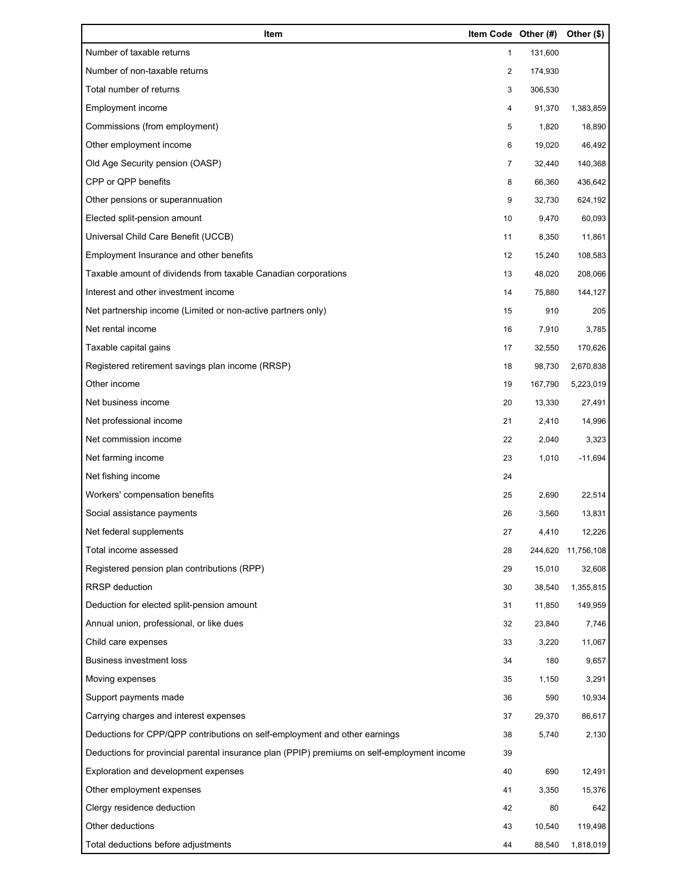| Item                                                                                        | Item Code Other (#) |         | Other (\$) |
|---------------------------------------------------------------------------------------------|---------------------|---------|------------|
| Number of taxable returns                                                                   | 1                   | 131,600 |            |
| Number of non-taxable returns                                                               | 2                   | 174,930 |            |
| Total number of returns                                                                     | 3                   | 306,530 |            |
| Employment income                                                                           | 4                   | 91,370  | 1,383,859  |
| Commissions (from employment)                                                               | 5                   | 1,820   | 18,890     |
| Other employment income                                                                     | 6                   | 19,020  | 46,492     |
| Old Age Security pension (OASP)                                                             | $\overline{7}$      | 32,440  | 140,368    |
| CPP or QPP benefits                                                                         | 8                   | 66,360  | 436,642    |
| Other pensions or superannuation                                                            | 9                   | 32,730  | 624,192    |
| Elected split-pension amount                                                                | 10                  | 9,470   | 60,093     |
| Universal Child Care Benefit (UCCB)                                                         | 11                  | 8,350   | 11,861     |
| Employment Insurance and other benefits                                                     | 12                  | 15,240  | 108,583    |
| Taxable amount of dividends from taxable Canadian corporations                              | 13                  | 48,020  | 208,066    |
| Interest and other investment income                                                        | 14                  | 75,880  | 144,127    |
| Net partnership income (Limited or non-active partners only)                                | 15                  | 910     | 205        |
| Net rental income                                                                           | 16                  | 7,910   | 3,785      |
| Taxable capital gains                                                                       | 17                  | 32,550  | 170,626    |
| Registered retirement savings plan income (RRSP)                                            | 18                  | 98,730  | 2,670,838  |
| Other income                                                                                | 19                  | 167,790 | 5,223,019  |
| Net business income                                                                         | 20                  | 13,330  | 27,491     |
| Net professional income                                                                     | 21                  | 2,410   | 14,996     |
| Net commission income                                                                       | 22                  | 2,040   | 3,323      |
| Net farming income                                                                          | 23                  | 1,010   | $-11,694$  |
| Net fishing income                                                                          | 24                  |         |            |
| Workers' compensation benefits                                                              | 25                  | 2,690   | 22,514     |
| Social assistance payments                                                                  | 26                  | 3,560   | 13,831     |
| Net federal supplements                                                                     | 27                  | 4,410   | 12,226     |
| Total income assessed                                                                       | 28                  | 244,620 | 11,756,108 |
| Registered pension plan contributions (RPP)                                                 | 29                  | 15,010  | 32,608     |
| RRSP deduction                                                                              | 30                  | 38,540  | 1,355,815  |
| Deduction for elected split-pension amount                                                  | 31                  | 11,850  | 149,959    |
| Annual union, professional, or like dues                                                    | 32                  | 23,840  | 7,746      |
| Child care expenses                                                                         | 33                  | 3,220   | 11,067     |
| <b>Business investment loss</b>                                                             | 34                  | 180     | 9,657      |
| Moving expenses                                                                             | 35                  | 1,150   | 3,291      |
| Support payments made                                                                       | 36                  | 590     | 10,934     |
| Carrying charges and interest expenses                                                      | 37                  | 29,370  | 86,617     |
| Deductions for CPP/QPP contributions on self-employment and other earnings                  | 38                  | 5,740   | 2,130      |
| Deductions for provincial parental insurance plan (PPIP) premiums on self-employment income | 39                  |         |            |
| Exploration and development expenses                                                        | 40                  | 690     | 12,491     |
| Other employment expenses                                                                   | 41                  | 3,350   | 15,376     |
| Clergy residence deduction                                                                  | 42                  | 80      | 642        |
| Other deductions                                                                            | 43                  | 10,540  | 119,498    |
| Total deductions before adjustments                                                         | 44                  | 88,540  | 1,818,019  |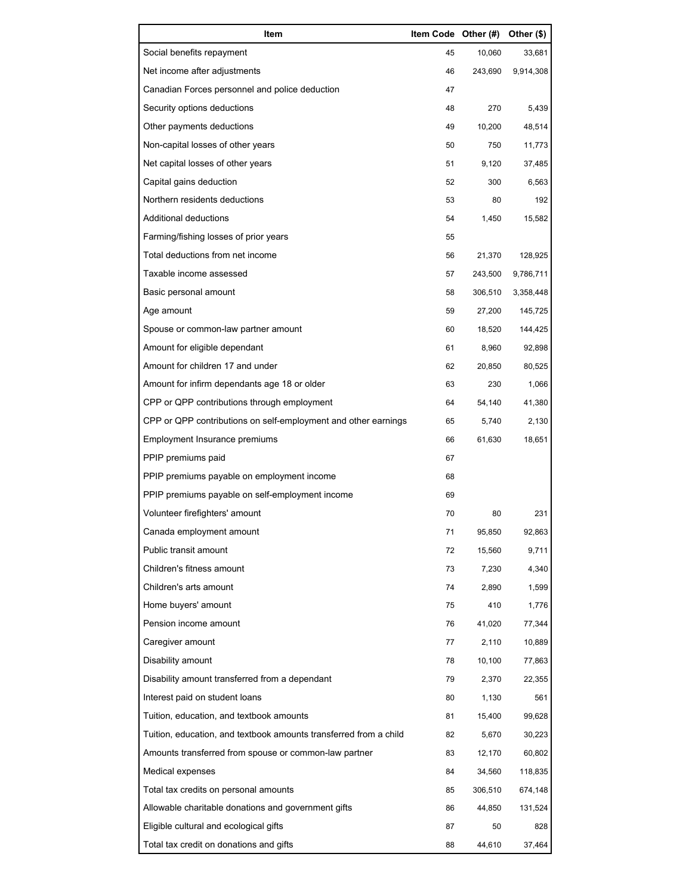| Item                                                              | Item Code Other (#) |         | Other (\$) |
|-------------------------------------------------------------------|---------------------|---------|------------|
| Social benefits repayment                                         | 45                  | 10,060  | 33,681     |
| Net income after adjustments                                      | 46                  | 243,690 | 9,914,308  |
| Canadian Forces personnel and police deduction                    | 47                  |         |            |
| Security options deductions                                       | 48                  | 270     | 5,439      |
| Other payments deductions                                         | 49                  | 10,200  | 48,514     |
| Non-capital losses of other years                                 | 50                  | 750     | 11,773     |
| Net capital losses of other years                                 | 51                  | 9,120   | 37,485     |
| Capital gains deduction                                           | 52                  | 300     | 6,563      |
| Northern residents deductions                                     | 53                  | 80      | 192        |
| Additional deductions                                             | 54                  | 1,450   | 15,582     |
| Farming/fishing losses of prior years                             | 55                  |         |            |
| Total deductions from net income                                  | 56                  | 21,370  | 128,925    |
| Taxable income assessed                                           | 57                  | 243,500 | 9,786,711  |
| Basic personal amount                                             | 58                  | 306,510 | 3,358,448  |
| Age amount                                                        | 59                  | 27,200  | 145,725    |
| Spouse or common-law partner amount                               | 60                  | 18,520  | 144,425    |
| Amount for eligible dependant                                     | 61                  | 8,960   | 92,898     |
| Amount for children 17 and under                                  | 62                  | 20,850  | 80,525     |
| Amount for infirm dependants age 18 or older                      | 63                  | 230     | 1,066      |
| CPP or QPP contributions through employment                       | 64                  | 54,140  | 41,380     |
| CPP or QPP contributions on self-employment and other earnings    | 65                  | 5,740   | 2,130      |
| Employment Insurance premiums                                     | 66                  | 61,630  | 18,651     |
| PPIP premiums paid                                                | 67                  |         |            |
| PPIP premiums payable on employment income                        | 68                  |         |            |
| PPIP premiums payable on self-employment income                   | 69                  |         |            |
| Volunteer firefighters' amount                                    | 70                  | 80      | 231        |
| Canada employment amount                                          | 71                  | 95,850  | 92,863     |
| Public transit amount                                             | 72                  | 15,560  | 9,711      |
| Children's fitness amount                                         | 73                  | 7,230   | 4,340      |
| Children's arts amount                                            | 74                  | 2,890   | 1,599      |
| Home buyers' amount                                               | 75                  | 410     | 1,776      |
| Pension income amount                                             | 76                  | 41,020  | 77,344     |
| Caregiver amount                                                  | 77                  | 2,110   | 10,889     |
| Disability amount                                                 | 78                  | 10,100  | 77,863     |
| Disability amount transferred from a dependant                    | 79                  | 2,370   | 22,355     |
| Interest paid on student loans                                    | 80                  | 1,130   | 561        |
| Tuition, education, and textbook amounts                          | 81                  | 15,400  | 99,628     |
| Tuition, education, and textbook amounts transferred from a child | 82                  | 5,670   | 30,223     |
| Amounts transferred from spouse or common-law partner             | 83                  | 12,170  | 60,802     |
| Medical expenses                                                  | 84                  | 34,560  | 118,835    |
| Total tax credits on personal amounts                             | 85                  | 306,510 | 674,148    |
| Allowable charitable donations and government gifts               | 86                  | 44,850  | 131,524    |
| Eligible cultural and ecological gifts                            | 87                  | 50      | 828        |
| Total tax credit on donations and gifts                           | 88                  | 44,610  | 37,464     |